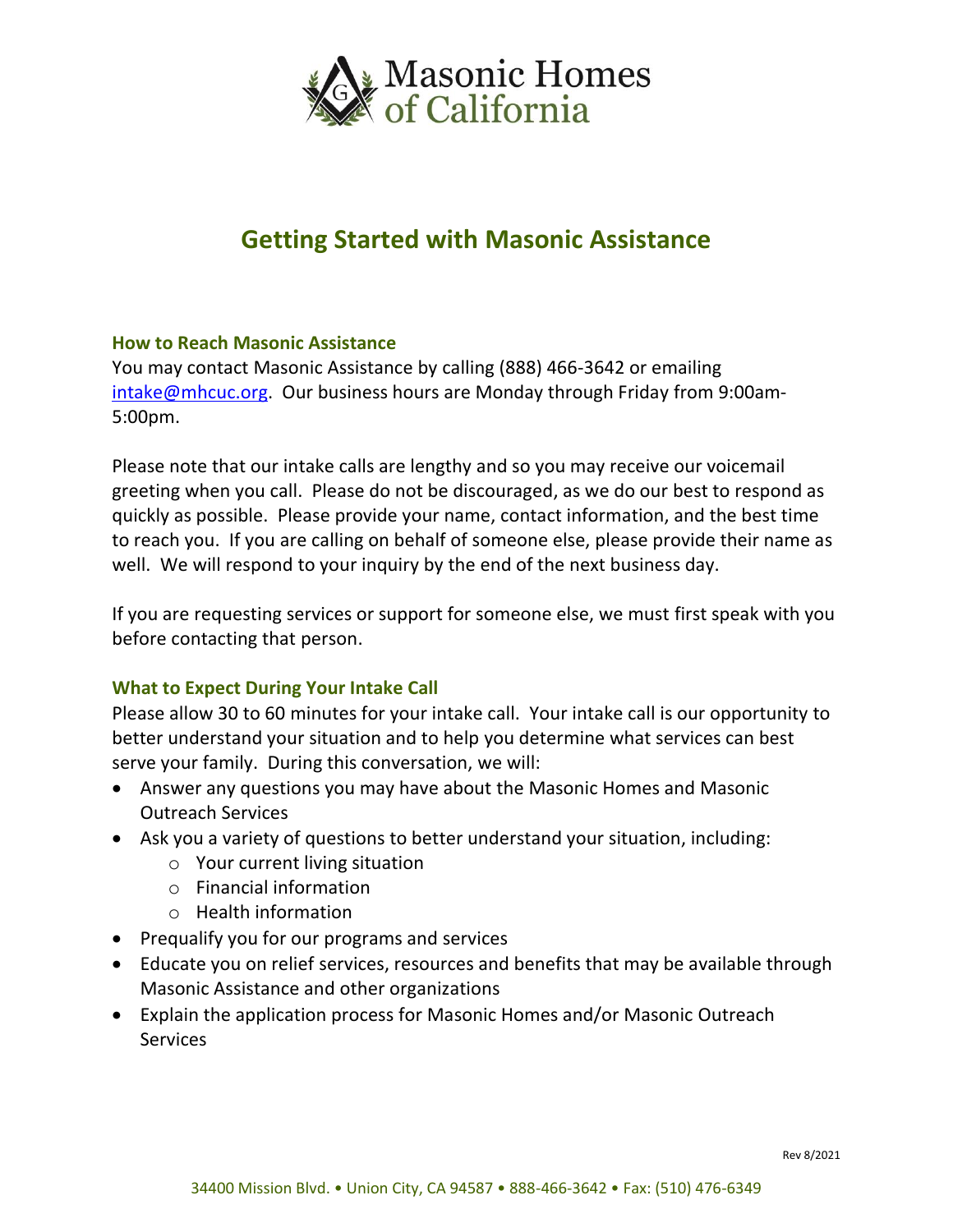

# **Getting Started with Masonic Assistance**

## **How to Reach Masonic Assistance**

You may contact Masonic Assistance by calling (888) 466-3642 or emailing [intake@mhcuc.org.](mailto:intake@mhcuc.org) Our business hours are Monday through Friday from 9:00am-5:00pm.

Please note that our intake calls are lengthy and so you may receive our voicemail greeting when you call. Please do not be discouraged, as we do our best to respond as quickly as possible. Please provide your name, contact information, and the best time to reach you. If you are calling on behalf of someone else, please provide their name as well. We will respond to your inquiry by the end of the next business day.

If you are requesting services or support for someone else, we must first speak with you before contacting that person.

## **What to Expect During Your Intake Call**

Please allow 30 to 60 minutes for your intake call. Your intake call is our opportunity to better understand your situation and to help you determine what services can best serve your family. During this conversation, we will:

- Answer any questions you may have about the Masonic Homes and Masonic Outreach Services
- Ask you a variety of questions to better understand your situation, including:
	- $\circ$  Your current living situation
	- o Financial information
	- o Health information
- Prequalify you for our programs and services
- Educate you on relief services, resources and benefits that may be available through Masonic Assistance and other organizations
- Explain the application process for Masonic Homes and/or Masonic Outreach **Services**